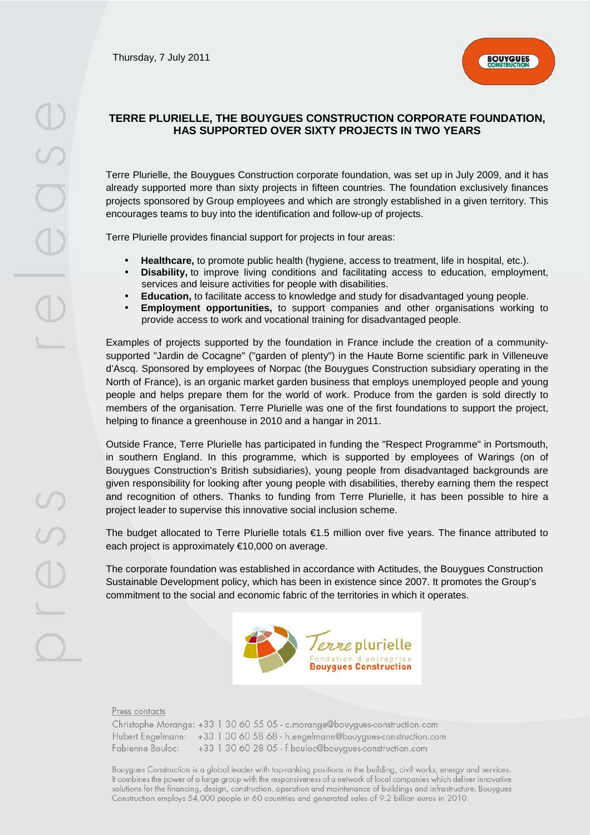

# **TERRE PLURIELLE, THE BOUYGUES CONSTRUCTION CORPORATE FOUNDATION, HAS SUPPORTED OVER SIXTY PROJECTS IN TWO YEARS**

Terre Plurielle, the Bouygues Construction corporate foundation, was set up in July 2009, and it has already supported more than sixty projects in fifteen countries. The foundation exclusively finances projects sponsored by Group employees and which are strongly established in a given territory. This encourages teams to buy into the identification and follow-up of projects.

Terre Plurielle provides financial support for projects in four areas:

- **Healthcare,** to promote public health (hygiene, access to treatment, life in hospital, etc.).
- **Disability**, to improve living conditions and facilitating access to education, employment, services and leisure activities for people with disabilities.
- **Education,** to facilitate access to knowledge and study for disadvantaged young people.
- **Employment opportunities,** to support companies and other organisations working to provide access to work and vocational training for disadvantaged people.

Examples of projects supported by the foundation in France include the creation of a communitysupported "Jardin de Cocagne" ("garden of plenty") in the Haute Borne scientific park in Villeneuve d'Ascq. Sponsored by employees of Norpac (the Bouygues Construction subsidiary operating in the North of France), is an organic market garden business that employs unemployed people and young people and helps prepare them for the world of work. Produce from the garden is sold directly to members of the organisation. Terre Plurielle was one of the first foundations to support the project, helping to finance a greenhouse in 2010 and a hangar in 2011.

Outside France, Terre Plurielle has participated in funding the "Respect Programme" in Portsmouth, in southern England. In this programme, which is supported by employees of Warings (on of Bouygues Construction's British subsidiaries), young people from disadvantaged backgrounds are given responsibility for looking after young people with disabilities, thereby earning them the respect and recognition of others. Thanks to funding from Terre Plurielle, it has been possible to hire a project leader to supervise this innovative social inclusion scheme.

The budget allocated to Terre Plurielle totals €1.5 million over five years. The finance attributed to each project is approximately €10,000 on average.

The corporate foundation was established in accordance with Actitudes, the Bouygues Construction Sustainable Development policy, which has been in existence since 2007. It promotes the Group's commitment to the social and economic fabric of the territories in which it operates.



#### Press contacts

|                    |  |  |  | Christophe Morange: +33 1 30 60 55 05 - c.morange@bouygues-construction.com |
|--------------------|--|--|--|-----------------------------------------------------------------------------|
|                    |  |  |  | Hubert Engelmann: +33 1 30 60 58 68 - h.engelmann@bouygues-construction.com |
| Fabienne Bouloc: I |  |  |  | +33 1 30 60 28 05 - f.bouloc@bouygues-construction.com                      |

Bouygues Construction is a global leader with top-ranking positions in the building, civil works, energy and services. It combines the power of a large group with the responsiveness of a network of local companies which deliver innovative solutions for the financing, design, construction, operation and maintenance of buildings and infrastructure. Bouygues Construction employs 54,000 people in 60 countries and generated sales of 9.2 billion euros in 2010.